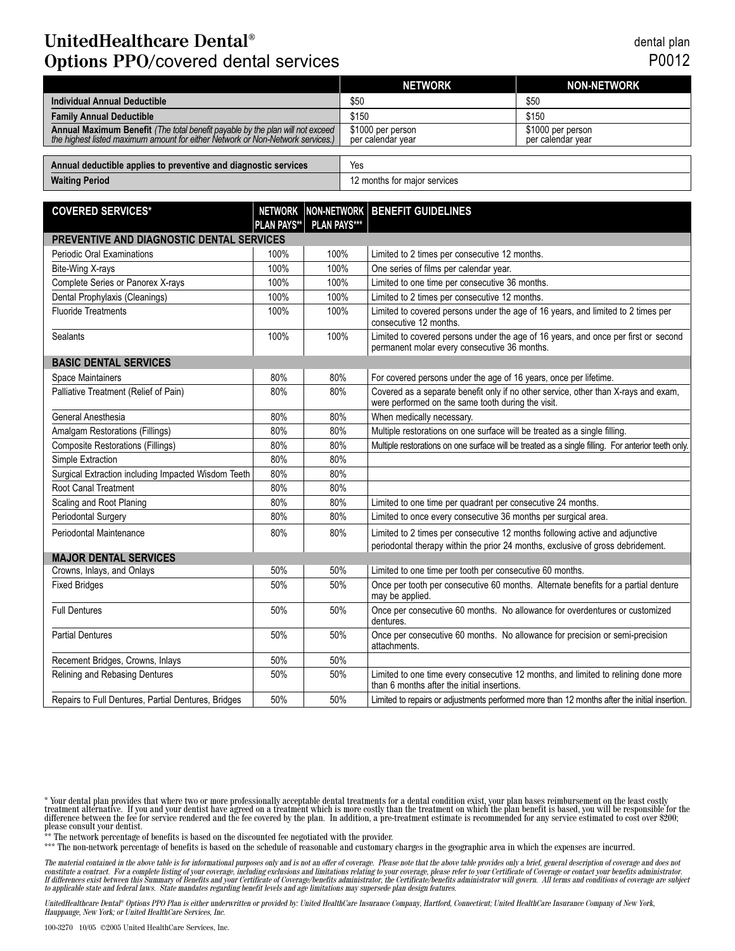## **UnitedHealthcare Dental® Options PPO/**covered dental services

dental plan P0012

|                                                                                                                                                                 | <b>NETWORK</b>                         | <b>NON-NETWORK</b>                     |
|-----------------------------------------------------------------------------------------------------------------------------------------------------------------|----------------------------------------|----------------------------------------|
| Individual Annual Deductible                                                                                                                                    | \$50                                   | \$50                                   |
| <b>Family Annual Deductible</b>                                                                                                                                 | \$150                                  | \$150                                  |
| Annual Maximum Benefit (The total benefit payable by the plan will not exceed<br>the highest listed maximum amount for either Network or Non-Network services.) | \$1000 per person<br>per calendar year | \$1000 per person<br>per calendar vear |
|                                                                                                                                                                 |                                        |                                        |
| Annual deductible applies to preventive and diagnostic services                                                                                                 | Yes                                    |                                        |

| Annual deductible applies to preventive and diagnostic services | 1es                          |
|-----------------------------------------------------------------|------------------------------|
| <b>Waiting Period</b>                                           | 12 months for maior services |

| <b>COVERED SERVICES*</b>                            |                    |                     | NETWORK NON-NETWORK BENEFIT GUIDELINES                                                                                                                          |  |
|-----------------------------------------------------|--------------------|---------------------|-----------------------------------------------------------------------------------------------------------------------------------------------------------------|--|
|                                                     | <b>PLAN PAYS**</b> | <b>PLAN PAYS***</b> |                                                                                                                                                                 |  |
| PREVENTIVE AND DIAGNOSTIC DENTAL SERVICES           |                    |                     |                                                                                                                                                                 |  |
| Periodic Oral Examinations                          | 100%               | 100%                | Limited to 2 times per consecutive 12 months.                                                                                                                   |  |
| Bite-Wing X-rays                                    | 100%               | 100%                | One series of films per calendar year.                                                                                                                          |  |
| Complete Series or Panorex X-rays                   | 100%               | 100%                | Limited to one time per consecutive 36 months.                                                                                                                  |  |
| Dental Prophylaxis (Cleanings)                      | 100%               | 100%                | Limited to 2 times per consecutive 12 months.                                                                                                                   |  |
| <b>Fluoride Treatments</b>                          | 100%               | 100%                | Limited to covered persons under the age of 16 years, and limited to 2 times per<br>consecutive 12 months.                                                      |  |
| <b>Sealants</b>                                     | 100%               | 100%                | Limited to covered persons under the age of 16 years, and once per first or second<br>permanent molar every consecutive 36 months.                              |  |
| <b>BASIC DENTAL SERVICES</b>                        |                    |                     |                                                                                                                                                                 |  |
| Space Maintainers                                   | 80%                | 80%                 | For covered persons under the age of 16 years, once per lifetime.                                                                                               |  |
| Palliative Treatment (Relief of Pain)               | 80%                | 80%                 | Covered as a separate benefit only if no other service, other than X-rays and exam,<br>were performed on the same tooth during the visit.                       |  |
| General Anesthesia                                  | 80%                | 80%                 | When medically necessary.                                                                                                                                       |  |
| Amalgam Restorations (Fillings)                     | 80%                | 80%                 | Multiple restorations on one surface will be treated as a single filling.                                                                                       |  |
| <b>Composite Restorations (Fillings)</b>            | 80%                | 80%                 | Multiple restorations on one surface will be treated as a single filling. For anterior teeth only.                                                              |  |
| Simple Extraction                                   | 80%                | 80%                 |                                                                                                                                                                 |  |
| Surgical Extraction including Impacted Wisdom Teeth | 80%                | 80%                 |                                                                                                                                                                 |  |
| Root Canal Treatment                                | 80%                | 80%                 |                                                                                                                                                                 |  |
| Scaling and Root Planing                            | 80%                | 80%                 | Limited to one time per quadrant per consecutive 24 months.                                                                                                     |  |
| <b>Periodontal Surgery</b>                          | 80%                | 80%                 | Limited to once every consecutive 36 months per surgical area.                                                                                                  |  |
| Periodontal Maintenance                             | 80%                | 80%                 | Limited to 2 times per consecutive 12 months following active and adjunctive<br>periodontal therapy within the prior 24 months, exclusive of gross debridement. |  |
| <b>MAJOR DENTAL SERVICES</b>                        |                    |                     |                                                                                                                                                                 |  |
| Crowns, Inlays, and Onlays                          | 50%                | 50%                 | Limited to one time per tooth per consecutive 60 months.                                                                                                        |  |
| <b>Fixed Bridges</b>                                | 50%                | 50%                 | Once per tooth per consecutive 60 months. Alternate benefits for a partial denture<br>may be applied.                                                           |  |
| <b>Full Dentures</b>                                | 50%                | 50%                 | Once per consecutive 60 months. No allowance for overdentures or customized<br>dentures.                                                                        |  |
| <b>Partial Dentures</b>                             | 50%                | 50%                 | Once per consecutive 60 months. No allowance for precision or semi-precision<br>attachments.                                                                    |  |
| Recement Bridges, Crowns, Inlays                    | 50%                | 50%                 |                                                                                                                                                                 |  |
| Relining and Rebasing Dentures                      | 50%                | 50%                 | Limited to one time every consecutive 12 months, and limited to relining done more<br>than 6 months after the initial insertions.                               |  |
| Repairs to Full Dentures, Partial Dentures, Bridges | 50%                | 50%                 | Limited to repairs or adjustments performed more than 12 months after the initial insertion.                                                                    |  |

\* Your dental plan provides that where two or more professionally acceptable dental treatments for a dental condition exist, your plan bases reimbursement on the least costly treatment alternative. If you and your dentist the network percentage of benefits is based on the discounted fee negotiated with the provider.<br>\*\* The network percentage of benefits is based on the discounted fee negotiated with the provider.

\*\*\* The non-network percentage of benefits is based on the schedule of reasonable and customary charges in the geographic area in which the expenses are incurred.

The material contained in the above table is for informational purposes only and is not an offer of coverage. Please note that the above table provides only a brief, general description of coverage and does not<br>If differen

UnitedHealthcare Dental® Options PPO Plan is either underwritten or provided by: United HealthCare Insurance Company, Hartford, Connecticut; United HealthCare Insurance Company of New York,<br>Hauppauge, New York; or United H